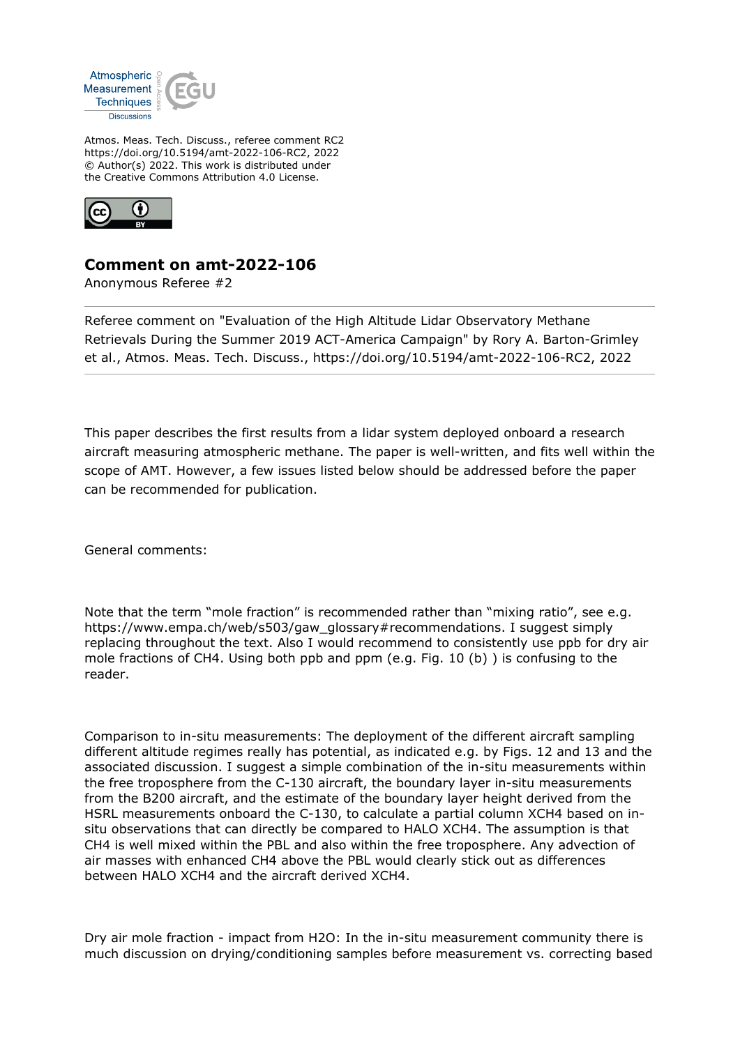

Atmos. Meas. Tech. Discuss., referee comment RC2 https://doi.org/10.5194/amt-2022-106-RC2, 2022 © Author(s) 2022. This work is distributed under the Creative Commons Attribution 4.0 License.



## **Comment on amt-2022-106**

Anonymous Referee #2

Referee comment on "Evaluation of the High Altitude Lidar Observatory Methane Retrievals During the Summer 2019 ACT-America Campaign" by Rory A. Barton-Grimley et al., Atmos. Meas. Tech. Discuss., https://doi.org/10.5194/amt-2022-106-RC2, 2022

This paper describes the first results from a lidar system deployed onboard a research aircraft measuring atmospheric methane. The paper is well-written, and fits well within the scope of AMT. However, a few issues listed below should be addressed before the paper can be recommended for publication.

General comments:

Note that the term "mole fraction" is recommended rather than "mixing ratio", see e.g. https://www.empa.ch/web/s503/gaw\_glossary#recommendations. I suggest simply replacing throughout the text. Also I would recommend to consistently use ppb for dry air mole fractions of CH4. Using both ppb and ppm (e.g. Fig. 10 (b) ) is confusing to the reader.

Comparison to in-situ measurements: The deployment of the different aircraft sampling different altitude regimes really has potential, as indicated e.g. by Figs. 12 and 13 and the associated discussion. I suggest a simple combination of the in-situ measurements within the free troposphere from the C-130 aircraft, the boundary layer in-situ measurements from the B200 aircraft, and the estimate of the boundary layer height derived from the HSRL measurements onboard the C-130, to calculate a partial column XCH4 based on insitu observations that can directly be compared to HALO XCH4. The assumption is that CH4 is well mixed within the PBL and also within the free troposphere. Any advection of air masses with enhanced CH4 above the PBL would clearly stick out as differences between HALO XCH4 and the aircraft derived XCH4.

Dry air mole fraction - impact from H2O: In the in-situ measurement community there is much discussion on drying/conditioning samples before measurement vs. correcting based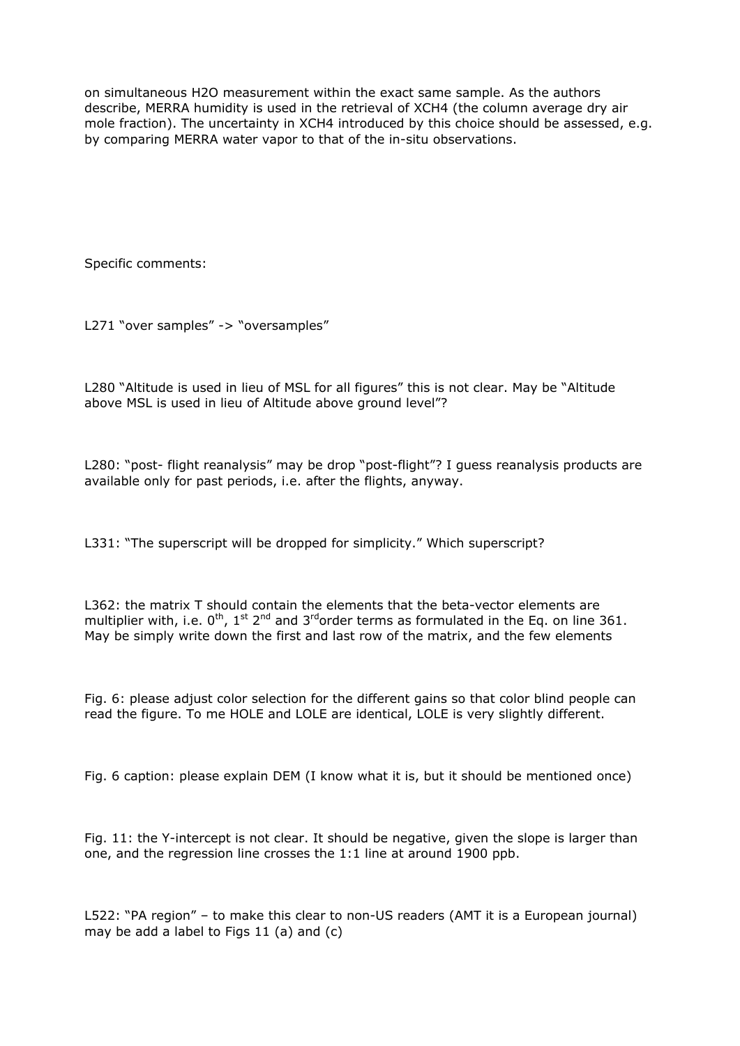on simultaneous H2O measurement within the exact same sample. As the authors describe, MERRA humidity is used in the retrieval of XCH4 (the column average dry air mole fraction). The uncertainty in XCH4 introduced by this choice should be assessed, e.g. by comparing MERRA water vapor to that of the in-situ observations.

Specific comments:

L271 "over samples" -> "oversamples"

L280 "Altitude is used in lieu of MSL for all figures" this is not clear. May be "Altitude above MSL is used in lieu of Altitude above ground level"?

L280: "post- flight reanalysis" may be drop "post-flight"? I guess reanalysis products are available only for past periods, i.e. after the flights, anyway.

L331: "The superscript will be dropped for simplicity." Which superscript?

L362: the matrix T should contain the elements that the beta-vector elements are multiplier with, i.e.  $0^{\text{th}}$ , 1st  $2^{\text{nd}}$  and  $3^{\text{rd}}$ order terms as formulated in the Eq. on line 361. May be simply write down the first and last row of the matrix, and the few elements

Fig. 6: please adjust color selection for the different gains so that color blind people can read the figure. To me HOLE and LOLE are identical, LOLE is very slightly different.

Fig. 6 caption: please explain DEM (I know what it is, but it should be mentioned once)

Fig. 11: the Y-intercept is not clear. It should be negative, given the slope is larger than one, and the regression line crosses the 1:1 line at around 1900 ppb.

L522: "PA region" – to make this clear to non-US readers (AMT it is a European journal) may be add a label to Figs 11 (a) and (c)